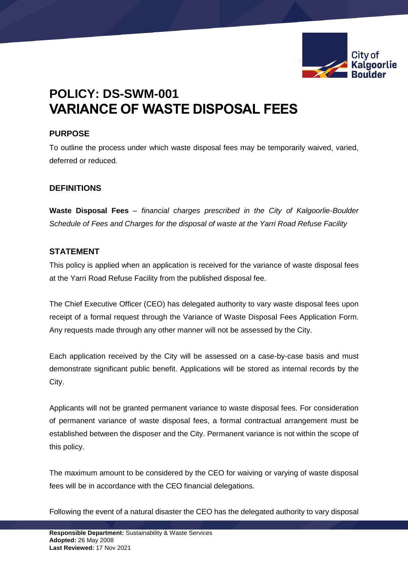

# **POLICY: DS-SWM-001 VARIANCE OF WASTE DISPOSAL FEES**

# **PURPOSE**

To outline the process under which waste disposal fees may be temporarily waived, varied, deferred or reduced.

# **DEFINITIONS**

**Waste Disposal Fees** – *financial charges prescribed in the City of Kalgoorlie-Boulder Schedule of Fees and Charges for the disposal of waste at the Yarri Road Refuse Facility*

## **STATEMENT**

This policy is applied when an application is received for the variance of waste disposal fees at the Yarri Road Refuse Facility from the published disposal fee.

The Chief Executive Officer (CEO) has delegated authority to vary waste disposal fees upon receipt of a formal request through the Variance of Waste Disposal Fees Application Form. Any requests made through any other manner will not be assessed by the City.

Each application received by the City will be assessed on a case-by-case basis and must demonstrate significant public benefit. Applications will be stored as internal records by the City.

Applicants will not be granted permanent variance to waste disposal fees. For consideration of permanent variance of waste disposal fees, a formal contractual arrangement must be established between the disposer and the City. Permanent variance is not within the scope of this policy.

The maximum amount to be considered by the CEO for waiving or varying of waste disposal fees will be in accordance with the CEO financial delegations.

Following the event of a natural disaster the CEO has the delegated authority to vary disposal